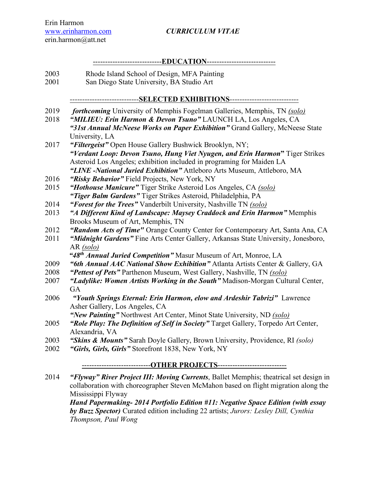Erin Harmon erin.harmon@att.net

### www.erinharmon.com *CURRICULUM VITAE*

#### ----------------------------**EDUCATION**----------------------------

- 2003 Rhode Island School of Design, MFA Painting
- 2001 San Diego State University, BA Studio Art

## *----------------------------***SELECTED EXHIBITIONS***----------------------------*

- 2019 *forthcoming* University of Memphis Fogelman Galleries, Memphis, TN *(solo)*
- 2018 *"MILIEU: Erin Harmon & Devon Tsuno"* LAUNCH LA, Los Angeles, CA *"31st Annual McNeese Works on Paper Exhibition"* Grand Gallery, McNeese State University, LA
- 2017 *"Filtergeist"* Open House Gallery Bushwick Brooklyn, NY; *"Verdant Loop: Devon Tsuno, Hung Viet Nyugen, and Erin Harmon***"** Tiger Strikes Asteroid Los Angeles; exhibition included in programing for Maiden LA *"LINE -National Juried Exhibition"* Attleboro Arts Museum, Attleboro, MA
- 2016 *"Risky Behavior"* Field Projects, New York, NY
- 2015 *"Hothouse Manicure"* Tiger Strike Asteroid Los Angeles, CA *(solo) "Tiger Balm Gardens"* Tiger Strikes Asteroid, Philadelphia, PA
- 2014 *"Forest for the Trees"* Vanderbilt University, Nashville TN *(solo)*
- 2013 *"A Different Kind of Landscape: Maysey Craddock and Erin Harmon"* Memphis Brooks Museum of Art, Memphis, TN
- 2012 *"Random Acts of Time"* Orange County Center for Contemporary Art, Santa Ana, CA
- 2011 *"Midnight Gardens"* Fine Arts Center Gallery, Arkansas State University, Jonesboro, AR *(solo)*

*"48th Annual Juried Competition"* Masur Museum of Art, Monroe, LA

- 2009 *"6th Annual AAC National Show Exhibition"* Atlanta Artists Center & Gallery, GA
- 2008 *"Pettest of Pets"* Parthenon Museum, West Gallery, Nashville, TN *(solo)*
- 2007 *"Ladylike: Women Artists Working in the South"* Madison-Morgan Cultural Center, **GA**
- 2006 *"Youth Springs Eternal: Erin Harmon, elow and Ardeshir Tabrizi"* Lawrence Asher Gallery, Los Angeles, CA

*"New Painting"* Northwest Art Center, Minot State University, ND *(solo)*

- 2005 *"Role Play: The Definition of Self in Society"* Target Gallery, Torpedo Art Center, Alexandria, VA
- 2003 *"Skins & Mounts"* Sarah Doyle Gallery, Brown University, Providence, RI *(solo)*
- 2002 *"Girls, Girls, Girls"* Storefront 1838, New York, NY

### ----------------------------**OTHER PROJECTS**----------------------------

2014 *"Flyway" River Project III: Moving Currents*, Ballet Memphis; theatrical set design in collaboration with choreographer Steven McMahon based on flight migration along the Mississippi Flyway

*Hand Papermaking- 2014 Portfolio Edition #11: Negative Space Edition (with essay by Buzz Spector)* Curated edition including 22 artists; *Jurors: Lesley Dill, Cynthia Thompson, Paul Wong*